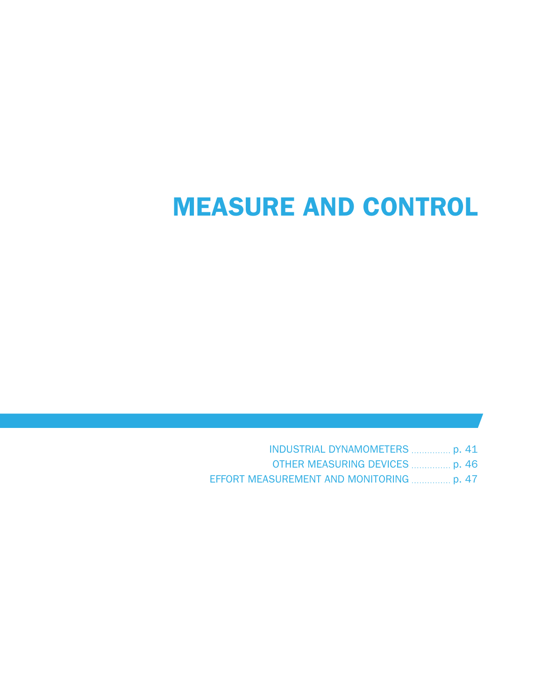# **MEASURE AND CONTROL**

INDUSTRIAL DYNAMOMETERS ................ p. 41

- OTHER MEASURING DEVICES ................ p. 46
- EFFORT MEASUREMENT AND MONITORING ................ p. 47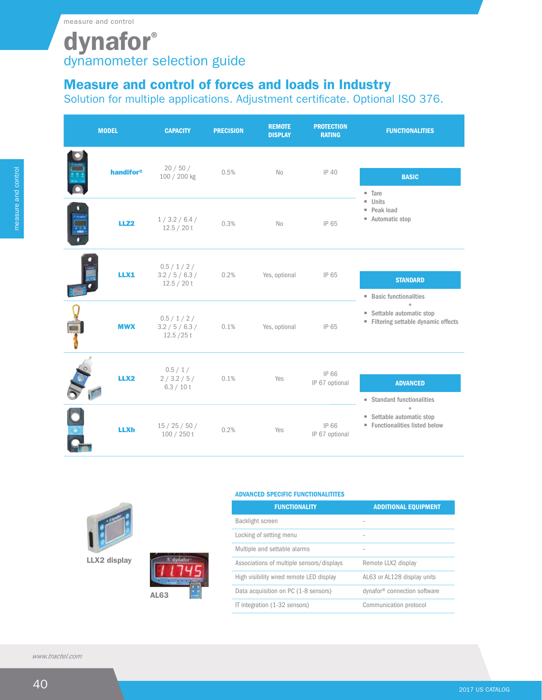# **dynafor®** dynamometer selection guide

### **Measure and control of forces and loads in Industry**

Solution for multiple applications. Adjustment certificate. Optional ISO 376.

|   | <b>MODEL</b>     | <b>CAPACITY</b>                                | <b>PRECISION</b> | <b>REMOTE</b><br><b>DISPLAY</b> | <b>PROTECTION</b><br><b>RATING</b> | <b>FUNCTIONALITIES</b>                                                 |
|---|------------------|------------------------------------------------|------------------|---------------------------------|------------------------------------|------------------------------------------------------------------------|
|   | <b>handifor®</b> | 20/50/<br>100 / 200 kg                         | 0.5%             | <b>No</b>                       | IP 40                              | <b>BASIC</b><br>$T = T$ are                                            |
|   | LLZ <sub>2</sub> | 1/3.2/6.4/<br>12.5 / 20t                       | 0.3%             | No                              | IP 65                              | $-$ Units<br>Peak load<br>Automatic stop                               |
|   | LLX1             | 0.5 / 1 / 2 /<br>3.2 / 5 / 6.3 /<br>12.5 / 20t | 0.2%             | Yes, optional                   | IP 65                              | <b>STANDARD</b><br>■ Basic functionalities                             |
|   | <b>MWX</b>       | 0.5 / 1 / 2 /<br>3.2 / 5 / 6.3 /<br>12.5 / 25t | 0.1%             | Yes, optional                   | IP 65                              | $+$<br>■ Settable automatic stop<br>Filtering settable dynamic effects |
|   | LLX <sub>2</sub> | 0.5 / 1 /<br>2/3.2/5/<br>6.3 / 10t             | 0.1%             | Yes                             | IP 66<br>IP 67 optional            | <b>ADVANCED</b><br>Standard functionalities                            |
| Ξ | <b>LLXh</b>      | 15/25/50/<br>100 / 250t                        | 0.2%             | Yes                             | IP 66<br>IP 67 optional            | $+$<br>■ Settable automatic stop<br>■ Functionalities listed below     |

### **ADVANCED SPECIFIC FUNCTIONALITITES**

| <b>FUNCTIONALITY</b>                      | <b>ADDITIONAL EQUIPMENT</b>              |
|-------------------------------------------|------------------------------------------|
| Backlight screen                          |                                          |
| Locking of setting menu                   |                                          |
| Multiple and settable alarms              |                                          |
| Associations of multiple sensors/displays | Remote LLX2 display                      |
| High visibility wired remote LED display  | AL63 or AL128 display units              |
| Data acquisition on PC (1-8 sensors)      | dynafor <sup>®</sup> connection software |
| IT integration (1-32 sensors)             | Communication protocol                   |

**LLX2 display**

|  | afor |
|--|------|
|  |      |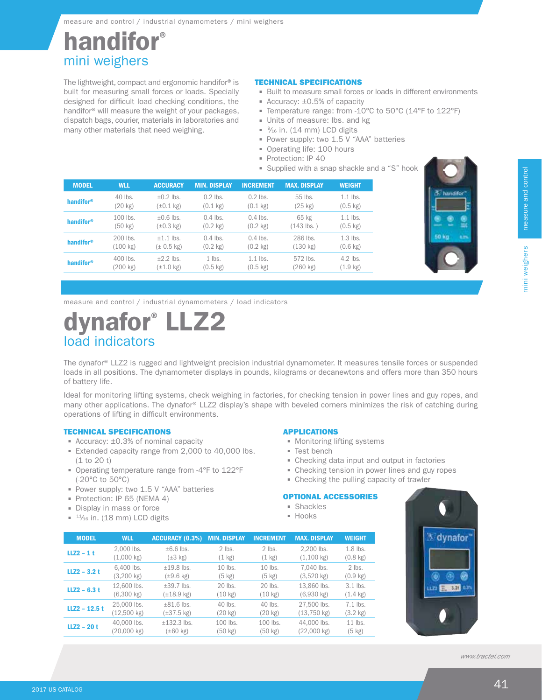### **handifor®** mini weighers

The lightweight, compact and ergonomic handifor® is built for measuring small forces or loads. Specially designed for difficult load checking conditions, the handifor® will measure the weight of your packages, dispatch bags, courier, materials in laboratories and many other materials that need weighing.

### TECHNICAL SPECIFICATIONS

- Built to measure small forces or loads in different environments Accuracy: ±0.5% of capacity
- Temperature range: from -10°C to 50°C (14°F to 122°F)
- Units of measure: lbs. and kg
- $\frac{9}{16}$  in. (14 mm) LCD digits
- **Power supply: two 1.5 V "AAA" batteries**
- Operating life: 100 hours
- Protection: IP 40
- **Supplied with a snap shackle and a "S" hook**

| <b>MODEL</b>          | <b>WLL</b>         | <b>ACCURACY</b> | <b>MIN. DISPLAY</b> | <b>INCREMENT</b>   | <b>MAX. DISPLAY</b> | <b>WEIGHT</b>      |
|-----------------------|--------------------|-----------------|---------------------|--------------------|---------------------|--------------------|
| handifor <sup>®</sup> | $40$ lbs.          | $\pm 0.2$ lbs.  | $0.2$ lbs.          | $0.2$ lbs.         | 55 lbs.             | $1.1$ lbs.         |
|                       | $(20 \text{ kg})$  | (±0.1 kg)       | $(0.1 \text{ kg})$  | $(0.1 \text{ kg})$ | $(25 \text{ kg})$   | $(0.5 \text{ kg})$ |
| handifor <sup>®</sup> | $100$ lbs.         | $\pm 0.6$ lbs.  | $0.4$ lbs.          | $0.4$ lbs.         | 65 kg               | $1.1$ lbs.         |
|                       | $(50 \text{ kg})$  | (±0.3 kg)       | $(0.2 \text{ kg})$  | $(0.2 \text{ kg})$ | $(143$ lbs.)        | $(0.5 \text{ kg})$ |
| handifor <sup>®</sup> | 200 lbs.           | $\pm 1.1$ lbs.  | $0.4$ lbs.          | $0.4$ lbs.         | 286 lbs.            | $1.3$ lbs.         |
|                       | $(100 \text{ kg})$ | (± 0.5 kg)      | $(0.2 \text{ kg})$  | $(0.2 \text{ kg})$ | $(130 \text{ kg})$  | $(0.6 \text{ kg})$ |
| handifor <sup>®</sup> | 400 lbs.           | $\pm 2.2$ lbs.  | $1$ lbs.            | $1.1$ lbs.         | 572 lbs.            | $4.2$ lbs.         |
|                       | (200 kg)           | (±1.0 kg)       | $(0.5 \text{ kg})$  | $(0.5 \text{ kg})$ | $(260 \text{ kg})$  | $(1.9 \text{ kg})$ |



measure and control / industrial dynamometers / load indicators

### **dynafor® LLZ2** load indicators

The dynafor® LLZ2 is rugged and lightweight precision industrial dynamometer. It measures tensile forces or suspended loads in all positions. The dynamometer displays in pounds, kilograms or decanewtons and offers more than 350 hours of battery life.

Ideal for monitoring lifting systems, check weighing in factories, for checking tension in power lines and guy ropes, and many other applications. The dynafor® LLZ2 display's shape with beveled corners minimizes the risk of catching during operations of lifting in difficult environments.

### TECHNICAL SPECIFICATIONS

- Accuracy: ±0.3% of nominal capacity
- Extended capacity range from 2,000 to 40,000 lbs. (1 to 20 t)
- Operating temperature range from -4°F to 122°F (-20°C to 50°C)
- **Power supply: two 1.5 V "AAA" batteries**
- Protection: IP 65 (NEMA 4)
- Display in mass or force
- $11/16$  in. (18 mm) LCD digits

### APPLICATIONS

- **Monitoring lifting systems**
- **Test bench**
- Checking data input and output in factories
- Checking tension in power lines and guy ropes
- Checking the pulling capacity of trawler

### OPTIONAL ACCESSORIES

- **Shackles**
- **Hooks**

| <b>MODEL</b>   | <b>WLL</b>            | ACCURACY (0.3%)         | <b>MIN. DISPLAY</b> | <b>INCREMENT</b>  | <b>MAX. DISPLAY</b>   | <b>WEIGHT</b>      |
|----------------|-----------------------|-------------------------|---------------------|-------------------|-----------------------|--------------------|
| $LLZ2 - 1t$    | 2.000 lbs.            | $\pm 6.6$ lbs.          | $2$ lbs.            | $2$ lbs.          | 2.200 lbs.            | $1.8$ lbs.         |
|                | $(1,000 \text{ kg})$  | $(\pm 3 \text{ kg})$    | $(1 \text{ kg})$    | $(1 \text{ kg})$  | $(1,100 \text{ kg})$  | $(0.8 \text{ kg})$ |
| $LLZ2 - 3.2t$  | 6.400 lbs.            | $±19.8$ lbs.            | $10$ lbs.           | 10 lbs.           | 7.040 lbs.            | $2$ lbs.           |
|                | $(3,200 \text{ kg})$  | $(\pm 9.6 \text{ kg})$  | $(5 \text{ kg})$    | $(5 \text{ kg})$  | $(3,520 \text{ kg})$  | $(0.9 \text{ kg})$ |
| $LLZ2 - 6.3t$  | 12,600 lbs.           | $\pm 39.7$ lbs.         | $20$ lbs.           | $20$ lbs.         | 13.860 lbs.           | $3.1$ lbs.         |
|                | $(6,300 \text{ kg})$  | (±18.9 kg)              | $(10 \text{ kg})$   | $(10 \text{ kg})$ | $(6,930 \text{ kg})$  | $(1.4 \text{ kg})$ |
| $LLZ2 - 12.5t$ | 25,000 lbs.           | $\pm 81.6$ lbs.         | 40 lbs.             | 40 lbs.           | 27.500 lbs.           | $7.1$ lbs.         |
|                | $(12,500 \text{ kg})$ | $(\pm 37.5 \text{ kg})$ | $(20 \text{ kg})$   | $(20 \text{ kg})$ | $(13,750 \text{ kg})$ | $(3.2 \text{ kg})$ |
| $LLZ2 - 20t$   | 40,000 lbs.           | $±132.3$ lbs.           | $100$ lbs.          | 100 lbs.          | 44,000 lbs.           | 11 lbs.            |
|                | $(20,000 \text{ kg})$ | $(\pm 60 \text{ kg})$   | $(50 \text{ kg})$   | $(50 \text{ kg})$ | (22,000 kg)           | (5 kg)             |

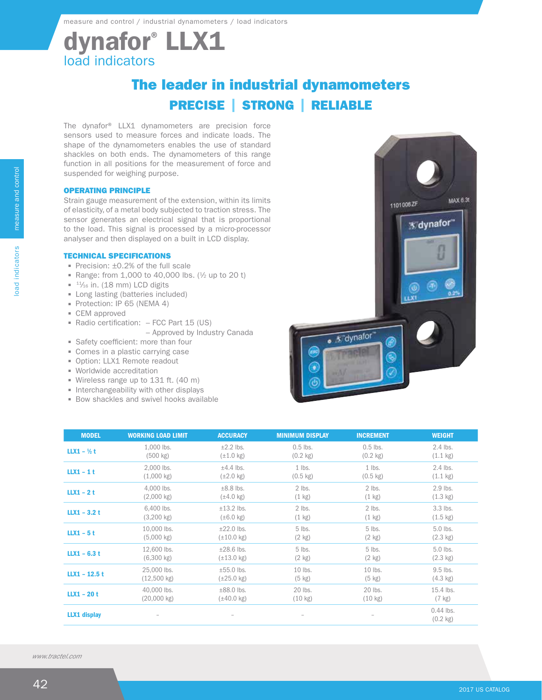### **dynafor® LLX1** load indicators

### The leader in industrial dynamometers PRECISE | STRONG | RELIABLE

The dynafor® LLX1 dynamometers are precision force sensors used to measure forces and indicate loads. The shape of the dynamometers enables the use of standard shackles on both ends. The dynamometers of this range function in all positions for the measurement of force and suspended for weighing purpose.

### OPERATING PRINCIPLE

Strain gauge measurement of the extension, within its limits of elasticity, of a metal body subjected to traction stress. The sensor generates an electrical signal that is proportional to the load. This signal is processed by a micro-processor analyser and then displayed on a built in LCD display.

### TECHNICAL SPECIFICATIONS

- Precision: ±0.2% of the full scale
- Range: from 1,000 to 40,000 lbs.  $(1/2)$  up to 20 t)
- $11/16$  in. (18 mm) LCD digits
- **Long lasting (batteries included)**
- Protection: IP 65 (NEMA 4)
- CEM approved
- Radio certification: FCC Part 15 (US)
	- Approved by Industry Canada
- **Safety coefficient: more than four**
- Comes in a plastic carrying case
- **Option: LLX1 Remote readout**
- Worldwide accreditation
- Wireless range up to 131 ft. (40 m)
- Interchangeability with other displays
- **Bow shackles and swivel hooks available**



| <b>MODEL</b>          | <b>WORKING LOAD LIMIT</b> | <b>ACCURACY</b>         | <b>MINIMUM DISPLAY</b> | <b>INCREMENT</b>   | <b>WEIGHT</b>                     |
|-----------------------|---------------------------|-------------------------|------------------------|--------------------|-----------------------------------|
| $LLX1 - \frac{1}{2}t$ | 1,000 lbs.                | $±2.2$ lbs.             | $0.5$ lbs.             | $0.5$ lbs.         | $2.4$ lbs.                        |
|                       | (500 kg)                  | $(\pm 1.0 \text{ kg})$  | $(0.2 \text{ kg})$     | $(0.2 \text{ kg})$ | $(1.1 \text{ kg})$                |
| $LLX1 - 1t$           | 2,000 lbs.                | $\pm 4.4$ lbs.          | $1$ lbs.               | $1$ lbs.           | $2.4$ lbs.                        |
|                       | $(1,000 \text{ kg})$      | $(\pm 2.0 \text{ kg})$  | $(0.5 \text{ kg})$     | $(0.5 \text{ kg})$ | $(1.1 \text{ kg})$                |
| $LLX1 - 2t$           | 4,000 lbs.                | $\pm 8.8$ lbs.          | $2$ lbs.               | $2$ lbs.           | 2.9 lbs.                          |
|                       | $(2,000 \text{ kg})$      | $(\pm 4.0 \text{ kg})$  | $(1 \text{ kg})$       | $(1 \text{ kg})$   | $(1.3 \text{ kg})$                |
| $LLX1 - 3.2t$         | 6,400 lbs.                | $±13.2$ lbs.            | $2$ lbs.               | $2$ lbs.           | $3.3$ lbs.                        |
|                       | $(3,200 \text{ kg})$      | $(\pm 6.0 \text{ kg})$  | $(1 \text{ kg})$       | $(1 \text{ kg})$   | $(1.5 \text{ kg})$                |
| $LLX1 - 5t$           | 10,000 lbs.               | $\pm 22.0$ lbs.         | $5$ lbs.               | $5$ lbs.           | 5.0 lbs.                          |
|                       | $(5,000 \text{ kg})$      | $(\pm 10.0 \text{ kg})$ | $(2 \text{ kg})$       | $(2 \text{ kg})$   | $(2.3 \text{ kg})$                |
| $LLX1 - 6.3t$         | 12,600 lbs.               | $\pm 28.6$ lbs.         | $5$ lbs.               | $5$ lbs.           | 5.0 lbs.                          |
|                       | $(6,300 \text{ kg})$      | $(\pm 13.0 \text{ kg})$ | $(2 \text{ kg})$       | $(2 \text{ kg})$   | $(2.3 \text{ kg})$                |
| $LLX1 - 12.5t$        | 25,000 lbs.               | $±55.0$ lbs.            | 10 lbs.                | 10 lbs.            | 9.5 lbs.                          |
|                       | $(12,500 \text{ kg})$     | $(\pm 25.0 \text{ kg})$ | $(5 \text{ kg})$       | $(5 \text{ kg})$   | $(4.3 \text{ kg})$                |
| $LLX1 - 20t$          | 40,000 lbs.               | $\pm 88.0$ lbs.         | 20 lbs.                | 20 lbs.            | 15.4 lbs.                         |
|                       | $(20,000 \text{ kg})$     | $(\pm 40.0 \text{ kg})$ | $(10 \text{ kg})$      | $(10 \text{ kg})$  | $(7 \text{ kg})$                  |
| <b>LLX1</b> display   |                           |                         |                        |                    | $0.44$ lbs.<br>$(0.2 \text{ kg})$ |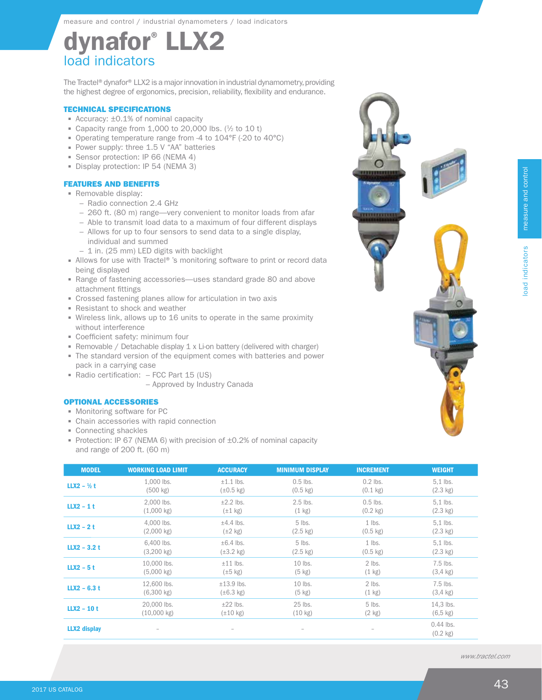## **dynafor® LLX2** load indicators

The Tractel® dynafor® LLX2 is a major innovation in industrial dynamometry, providing the highest degree of ergonomics, precision, reliability, flexibility and endurance.

### TECHNICAL SPECIFICATIONS

- Accuracy: ±0.1% of nominal capacity
- Capacity range from  $1,000$  to  $20,000$  lbs.  $\left(\frac{1}{2}\right)$  to  $10$  t)
- Operating temperature range from -4 to 104°F (-20 to 40°C)
- **Power supply: three 1.5 V "AA" batteries**
- Sensor protection: IP 66 (NEMA 4)
- Display protection: IP 54 (NEMA 3)

### FEATURES AND BENEFITS

- Removable display:
	- Radio connection 2.4 GHz
	- 260 ft. (80 m) range—very convenient to monitor loads from afar
	- Able to transmit load data to a maximum of four different displays
	- Allows for up to four sensors to send data to a single display, individual and summed
	- 1 in. (25 mm) LED digits with backlight
- Allows for use with Tractel® 's monitoring software to print or record data being displayed
- Range of fastening accessories—uses standard grade 80 and above attachment fittings
- Crossed fastening planes allow for articulation in two axis
- Resistant to shock and weather
- Wireless link, allows up to 16 units to operate in the same proximity without interference
- Coefficient safety: minimum four
- Removable / Detachable display 1 x Li-on battery (delivered with charger)
- The standard version of the equipment comes with batteries and power pack in a carrying case
- Radio certification: FCC Part 15 (US)
	- Approved by Industry Canada

#### OPTIONAL ACCESSORIES

- Monitoring software for PC
- Chain accessories with rapid connection
- Connecting shackles
- Protection: IP 67 (NEMA 6) with precision of  $\pm 0.2\%$  of nominal capacity and range of 200 ft. (60 m)

| <b>MODEL</b>          | <b>WORKING LOAD LIMIT</b> | <b>ACCURACY</b>          | <b>MINIMUM DISPLAY</b>   | <b>INCREMENT</b>   | <b>WEIGHT</b>                     |
|-----------------------|---------------------------|--------------------------|--------------------------|--------------------|-----------------------------------|
| $LLX2 - \frac{1}{2}t$ | 1,000 lbs.                | $±1.1$ lbs.              | $0.5$ lbs.               | $0.2$ lbs.         | $5.1$ lbs.                        |
|                       | $(500 \text{ kg})$        | $(\pm 0.5 \text{ kg})$   | $(0.5 \text{ kg})$       | $(0.1 \text{ kg})$ | $(2.3 \text{ kg})$                |
| $LLX2 - 1t$           | 2,000 lbs.                | $\pm 2.2$ lbs.           | $2.5$ lbs.               | $0.5$ lbs.         | $5.1$ lbs.                        |
|                       | $(1,000 \text{ kg})$      | $(\pm 1 \text{ kg})$     | $(1 \text{ kg})$         | $(0.2 \text{ kg})$ | $(2.3 \text{ kg})$                |
| $LLX2 - 2t$           | 4,000 lbs.                | $\pm 4.4$ lbs.           | $5$ lbs.                 | $1$ lbs.           | $5.1$ lbs.                        |
|                       | $(2,000 \text{ kg})$      | $(\pm 2$ kg)             | $(2.5 \text{ kg})$       | $(0.5 \text{ kg})$ | $(2.3 \text{ kg})$                |
| $LLX2 - 3.2t$         | 6,400 lbs.                | $\pm 6.4$ lbs.           | $5$ lbs.                 | $1$ lbs.           | 5,1 lbs.                          |
|                       | $(3,200 \text{ kg})$      | $(\pm 3.2 \text{ kg})$   | $(2.5 \text{ kg})$       | $(0.5 \text{ kg})$ | $(2.3 \text{ kg})$                |
| $LLX2 - 5t$           | 10,000 lbs.               | $±11$ lbs.               | 10 lbs.                  | $2$ lbs.           | 7.5 lbs.                          |
|                       | $(5,000 \text{ kg})$      | $(\pm 5 \text{ kg})$     | $(5 \text{ kg})$         | $(1 \text{ kg})$   | $(3,4 \text{ kg})$                |
| $LLX2 - 6.3t$         | 12,600 lbs.               | $\pm 13.9$ lbs.          | 10 lbs.                  | $2$ lbs.           | $7.5$ lbs.                        |
|                       | $(6,300 \text{ kg})$      | $(\pm 6.3 \text{ kg})$   | $(5 \text{ kg})$         | $(1 \text{ kg})$   | $(3,4 \text{ kg})$                |
| $LLX2 - 10t$          | 20,000 lbs.               | $±22$ lbs.               | 25 lbs.                  | $5$ lbs.           | 14,3 lbs.                         |
|                       | $(10,000 \text{ kg})$     | $(\pm 10 \text{ kg})$    | $(10 \text{ kg})$        | $(2 \text{ kg})$   | $(6,5 \text{ kg})$                |
| <b>LLX2 display</b>   | -                         | $\overline{\phantom{0}}$ | $\overline{\phantom{0}}$ |                    | $0.44$ lbs.<br>$(0.2 \text{ kg})$ |

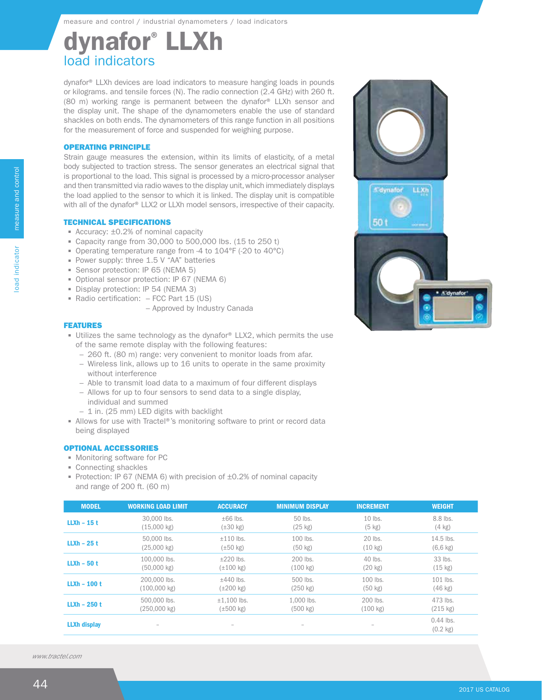## **dynafor® LLXh** load indicators

dynafor® LLXh devices are load indicators to measure hanging loads in pounds or kilograms. and tensile forces (N). The radio connection (2.4 GHz) with 260 ft. (80 m) working range is permanent between the dynafor® LLXh sensor and the display unit. The shape of the dynamometers enable the use of standard shackles on both ends. The dynamometers of this range function in all positions for the measurement of force and suspended for weighing purpose.

### OPERATING PRINCIPLE

Strain gauge measures the extension, within its limits of elasticity, of a metal body subjected to traction stress. The sensor generates an electrical signal that is proportional to the load. This signal is processed by a micro-processor analyser and then transmitted via radio waves to the display unit, which immediately displays the load applied to the sensor to which it is linked. The display unit is compatible with all of the dynafor® LLX2 or LLXh model sensors, irrespective of their capacity.

### TECHNICAL SPECIFICATIONS

- Accuracy: ±0.2% of nominal capacity
- Capacity range from 30,000 to 500,000 lbs. (15 to 250 t)
- Operating temperature range from -4 to 104°F (-20 to 40°C)
- Power supply: three 1.5 V "AA" batteries
- Sensor protection: IP 65 (NEMA 5)
- Optional sensor protection: IP 67 (NEMA 6)
- Display protection: IP 54 (NEMA 3)
- Radio certification: FCC Part 15 (US)
	- Approved by Industry Canada

#### FEATURES

- Utilizes the same technology as the dynafor® LLX2, which permits the use of the same remote display with the following features:
	- 260 ft. (80 m) range: very convenient to monitor loads from afar.
	- Wireless link, allows up to 16 units to operate in the same proximity without interference
	- Able to transmit load data to a maximum of four different displays
	- Allows for up to four sensors to send data to a single display, individual and summed
	- 1 in. (25 mm) LED digits with backlight
- Allows for use with Tractel®'s monitoring software to print or record data being displayed

#### OPTIONAL ACCESSORIES

- Monitoring software for PC
- Connecting shackles
- Protection: IP 67 (NEMA 6) with precision of  $\pm 0.2$ % of nominal capacity and range of 200 ft. (60 m)

| <b>MODEL</b>        | <b>WORKING LOAD LIMIT</b> | <b>ACCURACY</b>          | <b>MINIMUM DISPLAY</b> | <b>INCREMENT</b>   | <b>WEIGHT</b>                     |
|---------------------|---------------------------|--------------------------|------------------------|--------------------|-----------------------------------|
| <b>LLXh - 15 t</b>  | 30,000 lbs.               | $\pm 66$ lbs.            | 50 lbs.                | 10 lbs.            | 8.8 lbs.                          |
|                     | $(15,000 \text{ kg})$     | $(\pm 30 \text{ kg})$    | $(25 \text{ kg})$      | $(5 \text{ kg})$   | $(4 \text{ kg})$                  |
| <b>LLXh - 25 t</b>  | 50,000 lbs.               | $±110$ lbs.              | 100 lbs.               | 20 lbs.            | $14.5$ lbs.                       |
|                     | $(25,000 \text{ kg})$     | $(\pm 50 \text{ kg})$    | (50 kg)                | $(10 \text{ kg})$  | $(6, 6 \text{ kg})$               |
| $LLXh - 50t$        | 100,000 lbs.              | $\pm 220$ lbs.           | 200 lbs.               | 40 lbs.            | 33 lbs.                           |
|                     | $(50,000 \text{ kg})$     | $(\pm 100 \text{ kg})$   | $(100 \text{ kg})$     | $(20 \text{ kg})$  | $(15 \text{ kg})$                 |
| $LLXh - 100t$       | 200,000 lbs.              | $\pm 440$ lbs.           | 500 lbs.               | 100 lbs.           | $101$ lbs.                        |
|                     | $(100,000 \text{ kg})$    | $(\pm 200 \text{ kg})$   | $(250 \text{ kg})$     | $(50 \text{ kg})$  | $(46 \text{ kg})$                 |
| $LLXh - 250t$       | 500,000 lbs.              | $±1.100$ lbs.            | 1.000 lbs.             | 200 lbs.           | 473 lbs.                          |
|                     | $(250,000 \text{ kg})$    | $(\pm 500 \text{ kg})$   | $(500 \text{ kg})$     | $(100 \text{ kg})$ | $(215 \text{ kg})$                |
| <b>LLXh display</b> | -                         | $\overline{\phantom{a}}$ | -                      |                    | $0.44$ lbs.<br>$(0.2 \text{ kg})$ |





load indicator

oad indicator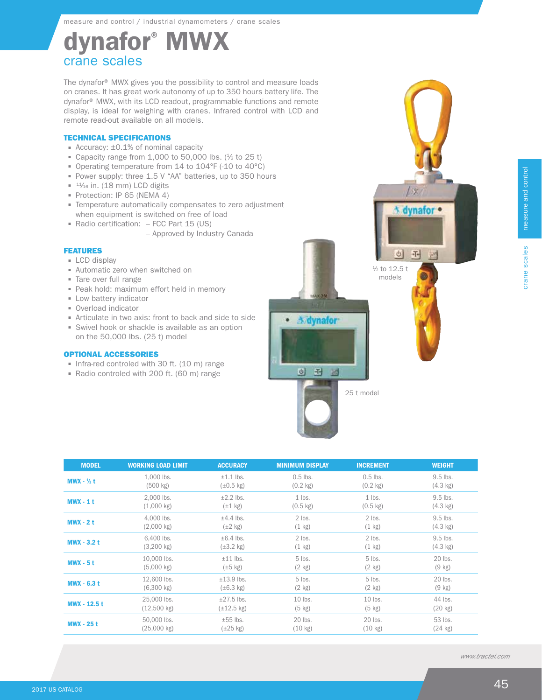### **dynafor® MWX** crane scales

The dynafor® MWX gives you the possibility to control and measure loads on cranes. It has great work autonomy of up to 350 hours battery life. The dynafor® MWX, with its LCD readout, programmable functions and remote display, is ideal for weighing with cranes. Infrared control with LCD and remote read-out available on all models.

### TECHNICAL SPECIFICATIONS

- Accuracy: ±0.1% of nominal capacity
- Capacity range from 1,000 to 50,000 lbs.  $(1/2)$  to 25 t)
- Operating temperature from 14 to 104°F (-10 to 40°C)
- Power supply: three 1.5 V "AA" batteries, up to 350 hours
- $11/16$  in. (18 mm) LCD digits
- Protection: IP 65 (NEMA 4)
- Temperature automatically compensates to zero adjustment when equipment is switched on free of load
- Radio certification: FCC Part 15 (US)
	- Approved by Industry Canada

### FEATURES

- **LCD** display
- Automatic zero when switched on
- Tare over full range
- **Peak hold: maximum effort held in memory**
- **Low battery indicator**
- Overload indicator
- Articulate in two axis: front to back and side to side
- Swivel hook or shackle is available as an option on the 50,000 lbs. (25 t) model

### OPTIONAL ACCESSORIES

- Infra-red controled with 30 ft. (10 m) range
- Radio controled with 200 ft. (60 m) range

| <b>MODEL</b>         | <b>WORKING LOAD LIMIT</b> | <b>ACCURACY</b>         | <b>MINIMUM DISPLAY</b> | <b>INCREMENT</b>   | <b>WEIGHT</b>      |
|----------------------|---------------------------|-------------------------|------------------------|--------------------|--------------------|
| $MWX - \frac{1}{2}t$ | 1,000 lbs.                | $\pm 1.1$ lbs.          | $0.5$ lbs.             | $0.5$ lbs.         | $9.5$ lbs.         |
|                      | (500 kg)                  | $(\pm 0.5 \text{ kg})$  | $(0.2 \text{ kg})$     | $(0.2 \text{ kg})$ | $(4.3 \text{ kg})$ |
| <b>MWX - 1 t</b>     | 2.000 lbs.                | $\pm 2.2$ lbs.          | $1$ lbs.               | $1$ lbs.           | $9.5$ lbs.         |
|                      | $(1,000 \text{ kg})$      | $(\pm 1 \text{ kg})$    | $(0.5 \text{ kg})$     | $(0.5 \text{ kg})$ | $(4.3 \text{ kg})$ |
| <b>MWX - 2 t</b>     | 4.000 lbs.                | $\pm 4.4$ lbs.          | $2$ lbs.               | $2$ lbs.           | $9.5$ lbs.         |
|                      | $(2,000 \text{ kg})$      | $(\pm 2 \text{ kg})$    | $(1 \text{ kg})$       | $(1 \text{ kg})$   | $(4.3 \text{ kg})$ |
| <b>MWX - 3.2 t</b>   | 6,400 lbs.                | $\pm 6.4$ lbs.          | $2$ lbs.               | $2$ lbs.           | $9.5$ lbs.         |
|                      | $(3,200 \text{ kg})$      | $(\pm 3.2 \text{ kg})$  | $(1 \text{ kg})$       | $(1 \text{ kg})$   | $(4.3 \text{ kg})$ |
| <b>MWX - 5 t</b>     | 10,000 lbs.               | $±11$ lbs.              | $5$ lbs.               | $5$ lbs.           | 20 lbs.            |
|                      | $(5,000 \text{ kg})$      | $(\pm 5 \text{ kg})$    | $(2 \text{ kg})$       | $(2 \text{ kg})$   | $(9 \text{ kg})$   |
| <b>MWX - 6.3 t</b>   | 12,600 lbs.               | $±13.9$ lbs.            | $5$ lbs.               | $5$ lbs.           | 20 lbs.            |
|                      | $(6,300 \text{ kg})$      | $(\pm 6.3 \text{ kg})$  | $(2 \text{ kg})$       | $(2 \text{ kg})$   | $(9 \text{ kg})$   |
| <b>MWX - 12.5 t</b>  | 25,000 lbs.               | $\pm 27.5$ lbs.         | 10 lbs.                | $10$ lbs.          | 44 lbs.            |
|                      | $(12,500 \text{ kg})$     | $(\pm 12.5 \text{ kg})$ | $(5 \text{ kg})$       | $(5 \text{ kg})$   | $(20 \text{ kg})$  |
| <b>MWX - 25 t</b>    | 50,000 lbs.               | $±55$ lbs.              | 20 lbs.                | 20 lbs.            | 53 lbs.            |
|                      | $(25,000 \text{ kg})$     | $(\pm 25$ kg)           | $(10 \text{ kg})$      | $(10 \text{ kg})$  | (24 kg)            |



25 t model

 $\bullet$   $\Delta$  dynafor

이 파

因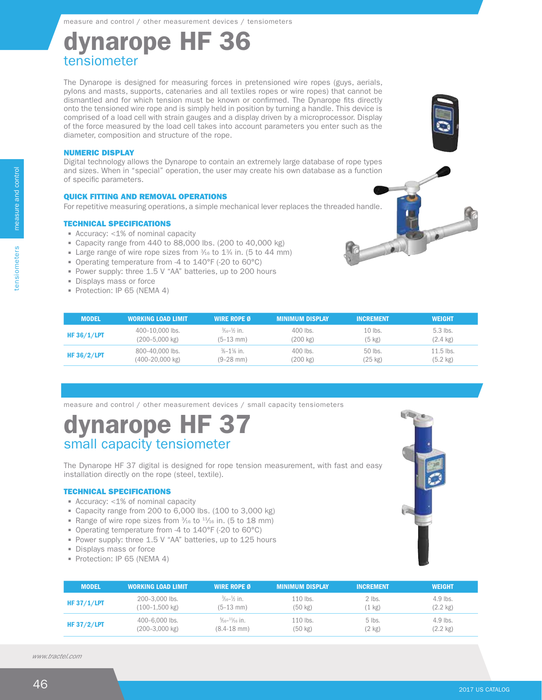# **dynarope HF 36** tensiometer

The Dynarope is designed for measuring forces in pretensioned wire ropes (guys, aerials, pylons and masts, supports, catenaries and all textiles ropes or wire ropes) that cannot be dismantled and for which tension must be known or confirmed. The Dynarope fits directly onto the tensioned wire rope and is simply held in position by turning a handle. This device is comprised of a load cell with strain gauges and a display driven by a microprocessor. Display of the force measured by the load cell takes into account parameters you enter such as the diameter, composition and structure of the rope.

### NUMERIC DISPLAY

Digital technology allows the Dynarope to contain an extremely large database of rope types and sizes. When in "special" operation, the user may create his own database as a function of specific parameters.

### QUICK FITTING AND REMOVAL OPERATIONS

For repetitive measuring operations, a simple mechanical lever replaces the threaded handle.

### TECHNICAL SPECIFICATIONS

- Accuracy: <1% of nominal capacity
- Capacity range from 440 to 88,000 lbs. (200 to 40,000 kg)
- Large range of wire rope sizes from  $\frac{3}{16}$  to  $\frac{13}{4}$  in. (5 to 44 mm)
- Operating temperature from -4 to 140°F (-20 to 60°C)
- Power supply: three 1.5 V "AA" batteries, up to 200 hours
- Displays mass or force
- Protection: IP 65 (NEMA 4)

| <b>MODEL</b>       | <b>WORKING LOAD LIMIT</b>   | <b>WIRE ROPE Ø</b>               | MINIMUM DISPLAY ' | <b>INCREMENT</b>  | <b>WEIGHT</b>      |
|--------------------|-----------------------------|----------------------------------|-------------------|-------------------|--------------------|
| <b>HF 36/1/LPT</b> | 400-10,000 lbs.             | $\frac{3}{16} - \frac{1}{2}$ in. | 400 lbs.          | $10$ lbs.         | $5.3$ lbs.         |
|                    | $(200 - 5,000 \text{ kg})$  | $(5-13$ mm)                      | (200 kg)          | $(5 \text{ kg})$  | $(2.4 \text{ kg})$ |
| <b>HF 36/2/LPT</b> | 800-40,000 lbs.             | $\frac{3}{8} - 1\frac{1}{8}$ in. | 400 lbs.          | 50 lbs.           | $11.5$ lbs.        |
|                    | $(400 - 20,000 \text{ kg})$ | $(9-28$ mm)                      | (200 kg)          | $(25 \text{ kg})$ | $(5.2 \text{ kg})$ |

measure and control / other measurement devices / small capacity tensiometers

### **dynarope HF 37** small capacity tensiometer

The Dynarope HF 37 digital is designed for rope tension measurement, with fast and easy installation directly on the rope (steel, textile).

### TECHNICAL SPECIFICATIONS

- Accuracy: <1% of nominal capacity
- Capacity range from 200 to  $6,000$  lbs. (100 to  $3,000$  kg)
- Range of wire rope sizes from  $\frac{3}{16}$  to  $\frac{11}{16}$  in. (5 to 18 mm)
- Operating temperature from -4 to 140°F (-20 to 60°C)
- Power supply: three 1.5 V "AA" batteries, up to 125 hours
- Displays mass or force
- Protection: IP 65 (NEMA 4)

| <b>MODEL</b>       | <b>WORKING LOAD LIMIT</b>  | <b>WIRE ROPE Ø</b>                 | <b>MINIMUM DISPLAY</b> | <b>INCREMENT</b> | <b>WEIGHT</b>      |
|--------------------|----------------------------|------------------------------------|------------------------|------------------|--------------------|
| HF $37/1$ /LPT     | 200-3,000 lbs.             | $\frac{3}{16} - \frac{1}{2}$ in.   | 110 lbs.               | $2$ lbs.         | $4.9$ lbs.         |
|                    | (100-1,500 kg)             | $(5-13$ mm)                        | (50 kg)                | $(1 \text{ kg})$ | $(2.2 \text{ kg})$ |
| <b>HF 37/2/LPT</b> | 400-6,000 lbs.             | $\frac{5}{16} - \frac{11}{16}$ in. | 110 lbs.               | $5$ lbs.         | $4.9$ lbs.         |
|                    | $(200 - 3,000 \text{ kg})$ | $(8.4 - 18$ mm)                    | (50 kg)                | $(2 \text{ kg})$ | $(2.2 \text{ kg})$ |

www.tractel.com



 $\mathbf{A}$ 

 $\bullet$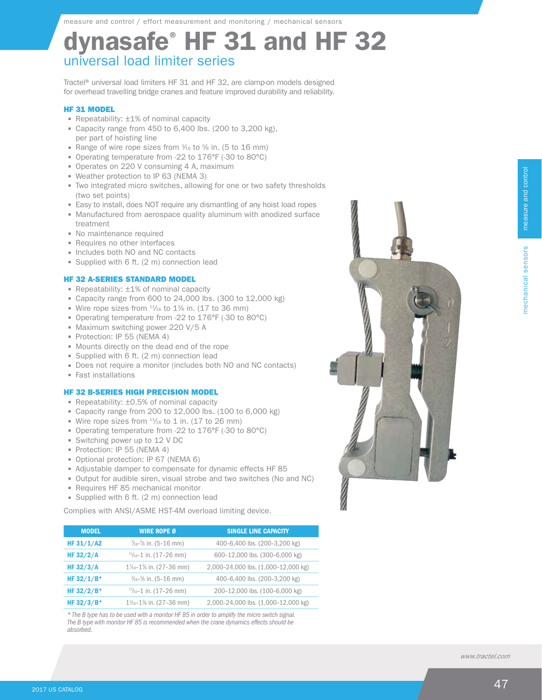measure and control / effort measurement and monitoring / mechanical sensors

### **dynasafe® HF 31 and HF 32** universal load limiter series

Tractel® universal load limiters HF 31 and HF 32, are clamp-on models designed for overhead travelling bridge cranes and feature improved durability and reliability.

### HF 31 MODEL

- Repeatability: ±1% of nominal capacity
- $\blacksquare$  Capacity range from 450 to 6,400 lbs. (200 to 3,200 kg), per part of hoisting line
- Range of wire rope sizes from  $\frac{3}{16}$  to  $\frac{5}{8}$  in. (5 to 16 mm)
- Operating temperature from -22 to 176°F (-30 to 80°C)
- Operates on 220 V consuming 4 A, maximum
- Weather protection to IP 63 (NEMA 3)
- Two integrated micro switches, allowing for one or two safety thresholds (two set points)
- Easy to install, does NOT require any dismantling of any hoist load ropes
- Manufactured from aerospace quality aluminum with anodized surface treatment
- No maintenance required
- Requires no other interfaces
- Includes both NO and NC contacts
- Supplied with 6 ft. (2 m) connection lead

### HF 32 A-SERIES STANDARD MODEL

- Repeatability: ±1% of nominal capacity
- Capacity range from 600 to 24,000 lbs. (300 to 12,000 kg)
- Wire rope sizes from  $11/16$  to  $11/6$  in. (17 to 36 mm)
- Operating temperature from -22 to 176°F (-30 to 80°C)
- Maximum switching power 220 V/5 A
- Protection: IP 55 (NEMA 4)
- Mounts directly on the dead end of the rope
- Supplied with 6 ft. (2 m) connection lead
- Does not require a monitor (includes both NO and NC contacts)
- Fast installations

### HF 32 B-SERIES HIGH PRECISION MODEL

- Repeatability: ±0.5% of nominal capacity
- Capacity range from 200 to 12,000 lbs. (100 to 6,000 kg)
- Wire rope sizes from  $\frac{11}{16}$  to 1 in. (17 to 26 mm)
- Operating temperature from -22 to 176°F (-30 to 80°C)
- Switching power up to 12 V DC
- Protection: IP 55 (NEMA 4)
- Optional protection: IP 67 (NEMA 6)
- Adjustable damper to compensate for dynamic effects HF 85
- Output for audible siren, visual strobe and two switches (No and NC)
- Requires HF 85 mechanical monitor
- **Supplied with 6 ft. (2 m) connection lead**

Complies with ANSI/ASME HST-4M overload limiting device.

| <b>MODEL</b>     | <b>WIRE ROPE Ø</b>                                         | <b>SINGLE LINE CAPACITY</b>         |
|------------------|------------------------------------------------------------|-------------------------------------|
| <b>HF31/1/A2</b> | $\frac{3}{16}$ - <sup>5</sup> / <sub>8</sub> in. (5-16 mm) | 400-6,400 lbs. (200-3,200 kg)       |
| <b>HF32/2/A</b>  | $\frac{11}{16}$ -1 in. (17-26 mm)                          | 600-12,000 lbs. (300-6,000 kg)      |
| <b>HF32/3/A</b>  | $1\frac{1}{16} - 1\%$ in. (27-36 mm)                       | 2,000-24,000 lbs. (1,000-12,000 kg) |
| HF $32/1/B*$     | $\frac{3}{16}$ - <sup>5</sup> / <sub>8</sub> in. (5-16 mm) | 400-6,400 lbs. (200-3,200 kg)       |
| HF 32/2/B*       | $\frac{11}{16}$ -1 in. (17-26 mm)                          | 200-12,000 lbs. (100-6,000 kg)      |
| HF 32/3/B*       | $1\frac{1}{16} - 1\%$ in. (27-36 mm)                       | 2,000-24,000 lbs. (1,000-12,000 kg) |

\* The B type has to be used with a monitor HF 85 in order to amplify the micro switch signal. The B type with monitor HF 85 is recommended when the crane dynamics effects should be absorbed.

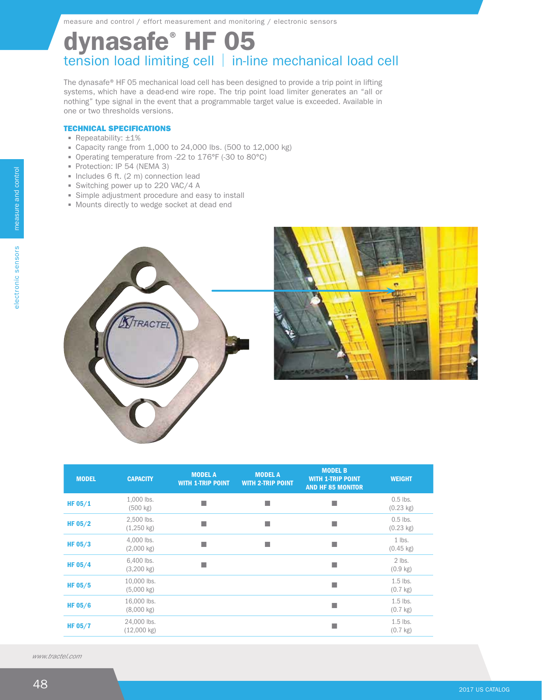### **dynasafe® HF 05** tension load limiting cell | in-line mechanical load cell

The dynasafe® HF 05 mechanical load cell has been designed to provide a trip point in lifting systems, which have a dead-end wire rope. The trip point load limiter generates an "all or nothing" type signal in the event that a programmable target value is exceeded. Available in one or two thresholds versions.

### TECHNICAL SPECIFICATIONS

- Repeatability: ±1%
- Capacity range from 1,000 to 24,000 lbs. (500 to 12,000 kg)
- Operating temperature from -22 to 176°F (-30 to 80°C)
- Protection: IP 54 (NEMA 3)
- Includes 6 ft. (2 m) connection lead
- Switching power up to 220 VAC/4 A
- Simple adjustment procedure and easy to install
- Mounts directly to wedge socket at dead end





| <b>MODEL</b>   | <b>CAPACITY</b>                      | <b>MODEL A</b><br><b>WITH 1-TRIP POINT</b> | <b>MODEL A</b><br><b>WITH 2-TRIP POINT</b> | <b>MODEL B</b><br><b>WITH 1-TRIP POINT</b><br><b>AND HF 85 MONITOR</b> | <b>WEIGHT</b>                     |
|----------------|--------------------------------------|--------------------------------------------|--------------------------------------------|------------------------------------------------------------------------|-----------------------------------|
| <b>HF 05/1</b> | 1,000 lbs.<br>(500 kg)               |                                            | ×                                          | ×.                                                                     | $0.5$ lbs.<br>$(0.23 \text{ kg})$ |
| HF $05/2$      | 2,500 lbs.<br>$(1,250 \text{ kg})$   | n.                                         | П                                          | ×.                                                                     | $0.5$ lbs.<br>$(0.23 \text{ kg})$ |
| HF $05/3$      | 4,000 lbs.<br>$(2,000 \text{ kg})$   |                                            |                                            | ×                                                                      | $1$ lbs.<br>$(0.45 \text{ kg})$   |
| <b>HF 05/4</b> | 6,400 lbs.<br>$(3,200 \text{ kg})$   | п                                          |                                            | ×.                                                                     | $2$ lbs.<br>$(0.9 \text{ kg})$    |
| <b>HF 05/5</b> | 10,000 lbs.<br>$(5,000 \text{ kg})$  |                                            |                                            | T.                                                                     | $1.5$ lbs.<br>$(0.7 \text{ kg})$  |
| <b>HF 05/6</b> | 16,000 lbs.<br>$(8,000 \text{ kg})$  |                                            |                                            | ×.                                                                     | $1.5$ lbs.<br>$(0.7 \text{ kg})$  |
| <b>HF 05/7</b> | 24,000 lbs.<br>$(12,000 \text{ kg})$ |                                            |                                            | ×                                                                      | $1.5$ lbs.<br>$(0.7 \text{ kg})$  |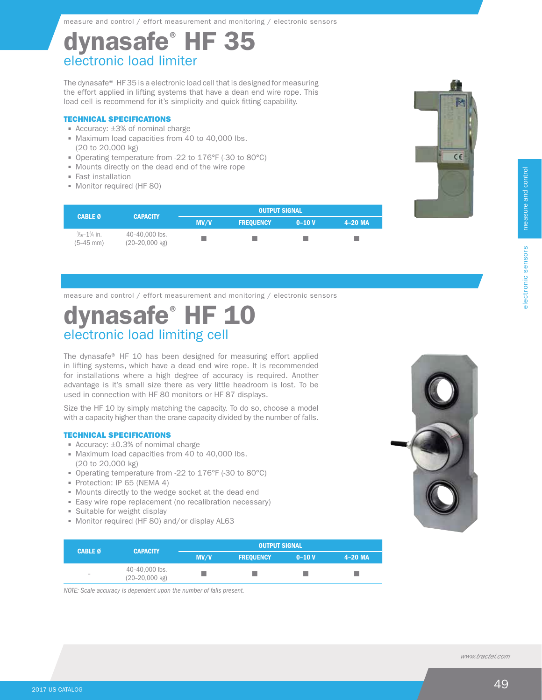### **dynasafe® HF 35** electronic load limiter

The dynasafe® HF 35 is a electronic load cell that is designed for measuring the effort applied in lifting systems that have a dean end wire rope. This load cell is recommend for it's simplicity and quick fitting capability.

### TECHNICAL SPECIFICATIONS

- Accuracy: ±3% of nominal charge
- Maximum load capacities from 40 to 40,000 lbs. (20 to 20,000 kg)
- Operating temperature from -22 to 176°F (-30 to 80°C)
- Mounts directly on the dead end of the wire rope
- Fast installation
- Monitor required (HF 80)



| <b>CABLE 0</b>                                  | <b>CAPACITY</b>                              | <b>OUTPUT SIGNAL</b> |                  |           |           |
|-------------------------------------------------|----------------------------------------------|----------------------|------------------|-----------|-----------|
|                                                 |                                              | MV/V                 | <b>FREOUENCY</b> | $0 - 10V$ | $4-20$ MA |
| $\frac{3}{16} - \frac{1}{4}$ in.<br>$(5-45$ mm) | 40-40,000 lbs.<br>$(20 - 20,000 \text{ kg})$ |                      |                  |           |           |

measure and control / effort measurement and monitoring / electronic sensors

### **dynasafe® HF 10** electronic load limiting cell

The dynasafe® HF 10 has been designed for measuring effort applied in lifting systems, which have a dead end wire rope. It is recommended for installations where a high degree of accuracy is required. Another advantage is it's small size there as very little headroom is lost. To be used in connection with HF 80 monitors or HF 87 displays.

Size the HF 10 by simply matching the capacity. To do so, choose a model with a capacity higher than the crane capacity divided by the number of falls.

### TECHNICAL SPECIFICATIONS

- Accuracy: ±0.3% of nomimal charge
- Maximum load capacities from 40 to 40,000 lbs. (20 to 20,000 kg)
- Operating temperature from -22 to 176°F (-30 to 80°C)
- Protection: IP 65 (NEMA 4)
- Mounts directly to the wedge socket at the dead end
- **Easy wire rope replacement (no recalibration necessary)**
- Suitable for weight display
- Monitor required (HF 80) and/or display AL63

| <b>CABLE Ø</b>           | <b>CAPACITY</b>                              | <b>OUTPUT SIGNAL</b> |                  |           |           |
|--------------------------|----------------------------------------------|----------------------|------------------|-----------|-----------|
|                          |                                              | MV/V                 | <b>FREOUENCY</b> | $0 - 10V$ | $4-20$ MA |
| $\overline{\phantom{a}}$ | 40-40,000 lbs.<br>$(20 - 20,000 \text{ kg})$ |                      |                  |           |           |

NOTE: Scale accuracy is dependent upon the number of falls present.



2017 US CATALOG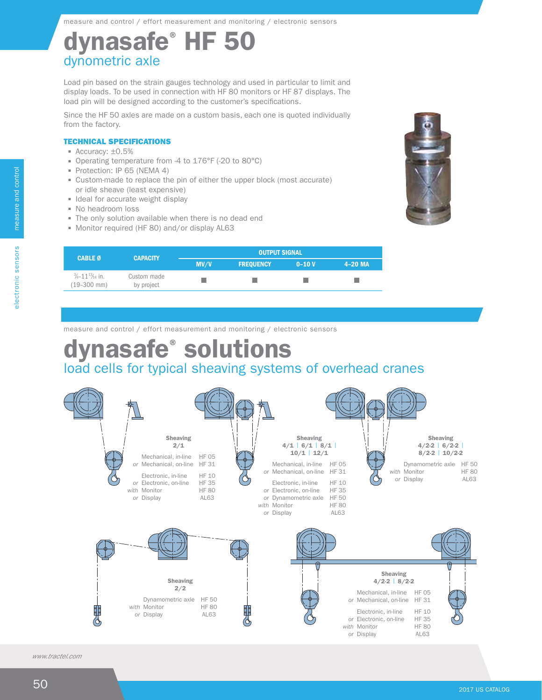measure and control / effort measurement and monitoring / electronic sensors

## **dynasafe® HF 50** dynometric axle

Load pin based on the strain gauges technology and used in particular to limit and display loads. To be used in connection with HF 80 monitors or HF 87 displays. The load pin will be designed according to the customer's specifications.

Since the HF 50 axles are made on a custom basis, each one is quoted individually from the factory.

### TECHNICAL SPECIFICATIONS

- Accuracy: ±0.5%
- Operating temperature from -4 to 176°F (-20 to 80°C)
- Protection: IP 65 (NEMA 4)
- Custom-made to replace the pin of either the upper block (most accurate) or idle sheave (least expensive)
- I Ideal for accurate weight display
- No headroom loss
- The only solution available when there is no dead end
- Monitor required (HF 80) and/or display AL63



| <b>CABLE Ø</b>                                                 | <b>CAPACITY</b>           | LOUTPUT SIGNAL' |                  |           |                |
|----------------------------------------------------------------|---------------------------|-----------------|------------------|-----------|----------------|
|                                                                |                           | MV/V            | <b>FREQUENCY</b> | $0 - 10V$ | $4-20$ MA      |
| $\frac{3}{4} - 11^{13}$ / <sub>16</sub> in.<br>$(19 - 300$ mm) | Custom made<br>by project |                 |                  |           | <b>COLLEGE</b> |

measure and control / effort measurement and monitoring / electronic sensors

### **dynasafe® solutions** load cells for typical sheaving systems of overhead cranes

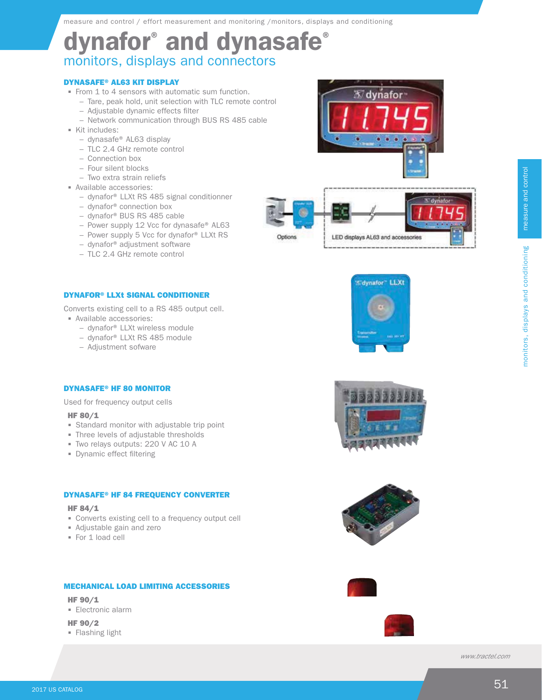### **dynafor® and dynasafe®** monitors, displays and connectors

### DYNASAFE® AL63 KIT DISPLAY

- From 1 to 4 sensors with automatic sum function.
	- Tare, peak hold, unit selection with TLC remote control
	- Adjustable dynamic effects filter
	- Network communication through BUS RS 485 cable
- Kit includes:
	- dynasafe® AL63 display
	- TLC 2.4 GHz remote control
	- Connection box
	- Four silent blocks
	- Two extra strain reliefs
- Available accessories:
	- dynafor® LLXt RS 485 signal conditionner
	- dynafor® connection box
	- dynafor® BUS RS 485 cable
	- Power supply 12 Vcc for dynasafe® AL63
	- Power supply 5 Vcc for dynafor® LLXt RS
	- dynafor® adjustment software
	- TLC 2.4 GHz remote control







### DYNAFOR® LLXt SIGNAL CONDITIONER

Converts existing cell to a RS 485 output cell.

- Available accessories:
	- dynafor® LLXt wireless module
	- dynafor® LLXt RS 485 module
	- Adjustment sofware

### DYNASAFE® HF 80 MONITOR

Used for frequency output cells

#### HF 80/1

- **Standard monitor with adjustable trip point**
- Three levels of adjustable thresholds
- Two relays outputs: 220 V AC 10 A
- Dynamic effect filtering

#### DYNASAFE® HF 84 FREQUENCY CONVERTER

#### HF 84/1

- Converts existing cell to a frequency output cell
- Adjustable gain and zero
- For 1 load cell

### MECHANICAL LOAD LIMITING ACCESSORIES

#### HF 90/1

**Electronic alarm** 

HF 90/2

**Flashing light**